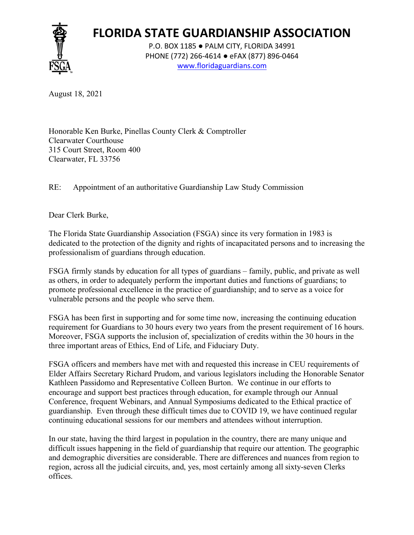

## **FLORIDA STATE GUARDIANSHIP ASSOCIATION**

P.O. BOX 1185 ● PALM CITY, FLORIDA 34991 PHONE (772) 266-4614 ● eFAX (877) 896-0464 www.floridaguardians.com

August 18, 2021

Honorable Ken Burke, Pinellas County Clerk & Comptroller Clearwater Courthouse 315 Court Street, Room 400 Clearwater, FL 33756

RE: Appointment of an authoritative Guardianship Law Study Commission

Dear Clerk Burke,

The Florida State Guardianship Association (FSGA) since its very formation in 1983 is dedicated to the protection of the dignity and rights of incapacitated persons and to increasing the professionalism of guardians through education.

FSGA firmly stands by education for all types of guardians – family, public, and private as well as others, in order to adequately perform the important duties and functions of guardians; to promote professional excellence in the practice of guardianship; and to serve as a voice for vulnerable persons and the people who serve them.

FSGA has been first in supporting and for some time now, increasing the continuing education requirement for Guardians to 30 hours every two years from the present requirement of 16 hours. Moreover, FSGA supports the inclusion of, specialization of credits within the 30 hours in the three important areas of Ethics, End of Life, and Fiduciary Duty.

FSGA officers and members have met with and requested this increase in CEU requirements of Elder Affairs Secretary Richard Prudom, and various legislators including the Honorable Senator Kathleen Passidomo and Representative Colleen Burton. We continue in our efforts to encourage and support best practices through education, for example through our Annual Conference, frequent Webinars, and Annual Symposiums dedicated to the Ethical practice of guardianship. Even through these difficult times due to COVID 19, we have continued regular continuing educational sessions for our members and attendees without interruption.

In our state, having the third largest in population in the country, there are many unique and difficult issues happening in the field of guardianship that require our attention. The geographic and demographic diversities are considerable. There are differences and nuances from region to region, across all the judicial circuits, and, yes, most certainly among all sixty-seven Clerks offices.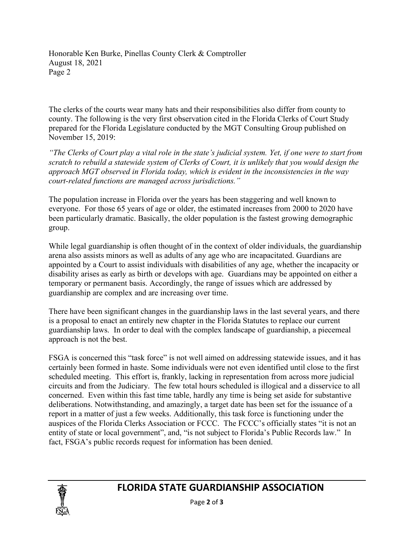Honorable Ken Burke, Pinellas County Clerk & Comptroller August 18, 2021 Page 2

The clerks of the courts wear many hats and their responsibilities also differ from county to county. The following is the very first observation cited in the Florida Clerks of Court Study prepared for the Florida Legislature conducted by the MGT Consulting Group published on November 15, 2019:

*"The Clerks of Court play a vital role in the state's judicial system. Yet, if one were to start from scratch to rebuild a statewide system of Clerks of Court, it is unlikely that you would design the approach MGT observed in Florida today, which is evident in the inconsistencies in the way court-related functions are managed across jurisdictions."*

The population increase in Florida over the years has been staggering and well known to everyone. For those 65 years of age or older, the estimated increases from 2000 to 2020 have been particularly dramatic. Basically, the older population is the fastest growing demographic group.

While legal guardianship is often thought of in the context of older individuals, the guardianship arena also assists minors as well as adults of any age who are incapacitated. Guardians are appointed by a Court to assist individuals with disabilities of any age, whether the incapacity or disability arises as early as birth or develops with age. Guardians may be appointed on either a temporary or permanent basis. Accordingly, the range of issues which are addressed by guardianship are complex and are increasing over time.

There have been significant changes in the guardianship laws in the last several years, and there is a proposal to enact an entirely new chapter in the Florida Statutes to replace our current guardianship laws. In order to deal with the complex landscape of guardianship, a piecemeal approach is not the best.

FSGA is concerned this "task force" is not well aimed on addressing statewide issues, and it has certainly been formed in haste. Some individuals were not even identified until close to the first scheduled meeting. This effort is, frankly, lacking in representation from across more judicial circuits and from the Judiciary. The few total hours scheduled is illogical and a disservice to all concerned. Even within this fast time table, hardly any time is being set aside for substantive deliberations. Notwithstanding, and amazingly, a target date has been set for the issuance of a report in a matter of just a few weeks. Additionally, this task force is functioning under the auspices of the Florida Clerks Association or FCCC. The FCCC's officially states "it is not an entity of state or local government", and, "is not subject to Florida's Public Records law." In fact, FSGA's public records request for information has been denied.